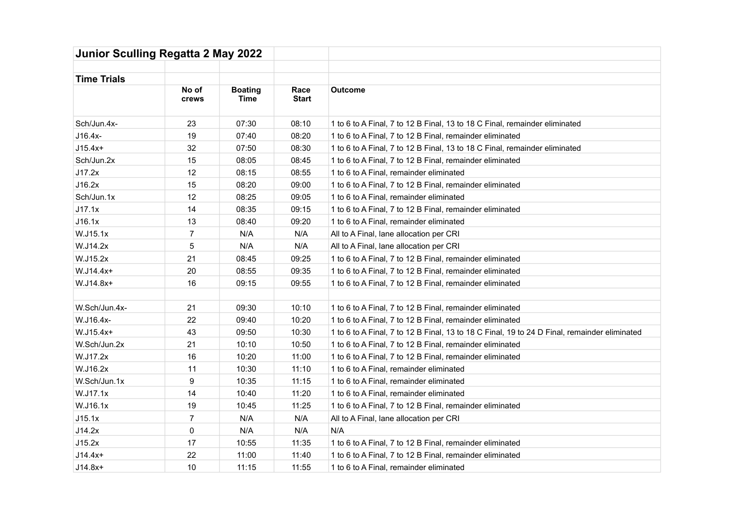| Junior Sculling Regatta 2 May 2022 |                |                               |                      |                                                                                              |  |  |  |
|------------------------------------|----------------|-------------------------------|----------------------|----------------------------------------------------------------------------------------------|--|--|--|
| <b>Time Trials</b>                 |                |                               |                      |                                                                                              |  |  |  |
|                                    | No of<br>crews | <b>Boating</b><br><b>Time</b> | Race<br><b>Start</b> | <b>Outcome</b>                                                                               |  |  |  |
| Sch/Jun.4x-                        | 23             | 07:30                         | 08:10                | 1 to 6 to A Final, 7 to 12 B Final, 13 to 18 C Final, remainder eliminated                   |  |  |  |
| J16.4x-                            | 19             | 07:40                         | 08:20                | 1 to 6 to A Final, 7 to 12 B Final, remainder eliminated                                     |  |  |  |
| $J15.4x+$                          | 32             | 07:50                         | 08:30                | 1 to 6 to A Final, 7 to 12 B Final, 13 to 18 C Final, remainder eliminated                   |  |  |  |
| Sch/Jun.2x                         | 15             | 08:05                         | 08:45                | 1 to 6 to A Final, 7 to 12 B Final, remainder eliminated                                     |  |  |  |
| J17.2x                             | 12             | 08:15                         | 08:55                | 1 to 6 to A Final, remainder eliminated                                                      |  |  |  |
| J16.2x                             | 15             | 08:20                         | 09:00                | 1 to 6 to A Final, 7 to 12 B Final, remainder eliminated                                     |  |  |  |
| Sch/Jun.1x                         | 12             | 08:25                         | 09:05                | 1 to 6 to A Final, remainder eliminated                                                      |  |  |  |
| J17.1x                             | 14             | 08:35                         | 09:15                | 1 to 6 to A Final, 7 to 12 B Final, remainder eliminated                                     |  |  |  |
| J16.1x                             | 13             | 08:40                         | 09:20                | 1 to 6 to A Final, remainder eliminated                                                      |  |  |  |
| W.J15.1x                           | $\overline{7}$ | N/A                           | N/A                  | All to A Final, lane allocation per CRI                                                      |  |  |  |
| W.J14.2x                           | 5              | N/A                           | N/A                  | All to A Final, lane allocation per CRI                                                      |  |  |  |
| W.J15.2x                           | 21             | 08:45                         | 09:25                | 1 to 6 to A Final, 7 to 12 B Final, remainder eliminated                                     |  |  |  |
| W.J14.4x+                          | 20             | 08:55                         | 09:35                | 1 to 6 to A Final, 7 to 12 B Final, remainder eliminated                                     |  |  |  |
| W.J14.8x+                          | 16             | 09:15                         | 09:55                | 1 to 6 to A Final, 7 to 12 B Final, remainder eliminated                                     |  |  |  |
| W.Sch/Jun.4x-                      | 21             | 09:30                         | 10:10                | 1 to 6 to A Final, 7 to 12 B Final, remainder eliminated                                     |  |  |  |
| W.J16.4x-                          | 22             | 09:40                         | 10:20                |                                                                                              |  |  |  |
|                                    |                |                               |                      | 1 to 6 to A Final, 7 to 12 B Final, remainder eliminated                                     |  |  |  |
| W.J15.4x+                          | 43             | 09:50                         | 10:30                | 1 to 6 to A Final, 7 to 12 B Final, 13 to 18 C Final, 19 to 24 D Final, remainder eliminated |  |  |  |
| W.Sch/Jun.2x                       | 21             | 10:10                         | 10:50                | 1 to 6 to A Final, 7 to 12 B Final, remainder eliminated                                     |  |  |  |
| W.J17.2x                           | 16             | 10:20                         | 11:00                | 1 to 6 to A Final, 7 to 12 B Final, remainder eliminated                                     |  |  |  |
| W.J16.2x                           | 11             | 10:30                         | 11:10                | 1 to 6 to A Final, remainder eliminated                                                      |  |  |  |
| W.Sch/Jun.1x                       | $9\,$          | 10:35                         | 11:15                | 1 to 6 to A Final, remainder eliminated                                                      |  |  |  |
| W.J17.1x                           | 14             | 10:40                         | 11:20                | 1 to 6 to A Final, remainder eliminated                                                      |  |  |  |
| W.J16.1x                           | 19             | 10:45                         | 11:25                | 1 to 6 to A Final, 7 to 12 B Final, remainder eliminated                                     |  |  |  |
| J15.1x                             | $\overline{7}$ | N/A                           | N/A                  | All to A Final, lane allocation per CRI                                                      |  |  |  |
| J14.2x                             | 0              | N/A                           | N/A                  | N/A                                                                                          |  |  |  |
| J15.2x                             | 17             | 10:55                         | 11:35                | 1 to 6 to A Final, 7 to 12 B Final, remainder eliminated                                     |  |  |  |
| $J14.4x+$                          | 22             | 11:00                         | 11:40                | 1 to 6 to A Final, 7 to 12 B Final, remainder eliminated                                     |  |  |  |
| $J14.8x+$                          | 10             | 11:15                         | 11:55                | 1 to 6 to A Final, remainder eliminated                                                      |  |  |  |